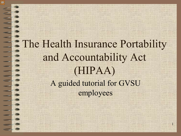#### The Health Insurance Portability and Accountability Act (HIPAA) A guided tutorial for GVSU employees

1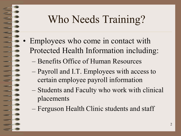## Who Needs Training?

- Employees who come in contact with Protected Health Information including:
	- Benefits Office of Human Resources
	- Payroll and I.T. Employees with access to certain employee payroll information
	- Students and Faculty who work with clinical placements
	- Ferguson Health Clinic students and staff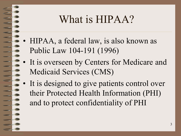#### What is HIPAA?

- HIPAA, a federal law, is also known as Public Law 104-191 (1996)
- It is overseen by Centers for Medicare and Medicaid Services (CMS)
- It is designed to give patients control over their Protected Health Information (PHI) and to protect confidentiality of PHI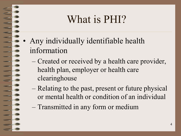#### What is PHI?

- Any individually identifiable health information
	- Created or received by a health care provider, health plan, employer or health care clearinghouse
	- Relating to the past, present or future physical or mental health or condition of an individual
	- Transmitted in any form or medium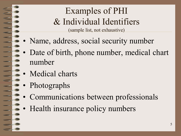#### Examples of PHI & Individual Identifiers (sample list, not exhaustive)

- Name, address, social security number
- Date of birth, phone number, medical chart number
- Medical charts
- Photographs
- Communications between professionals
- Health insurance policy numbers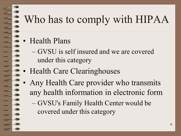# Who has to comply with HIPAA

- Health Plans
	- GVSU is self insured and we are covered under this category
- Health Care Clearinghouses
- Any Health Care provider who transmits any health information in electronic form

– GVSU's Family Health Center would be covered under this category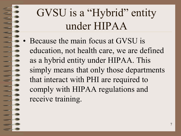# GVSU is a "Hybrid" entity under HIPAA

• Because the main focus at GVSU is education, not health care, we are defined as a hybrid entity under HIPAA. This simply means that only those departments that interact with PHI are required to comply with HIPAA regulations and receive training.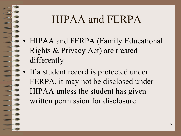#### HIPAA and FERPA

- HIPAA and FERPA (Family Educational Rights & Privacy Act) are treated differently
- If a student record is protected under FERPA, it may not be disclosed under HIPAA unless the student has given written permission for disclosure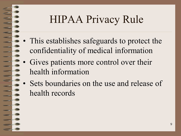## HIPAA Privacy Rule

- This establishes safeguards to protect the confidentiality of medical information
- Gives patients more control over their health information
- Sets boundaries on the use and release of health records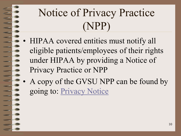## Notice of Privacy Practice (NPP)

- HIPAA covered entities must notify all eligible patients/employees of their rights under HIPAA by providing a Notice of Privacy Practice or NPP
- A copy of the GVSU NPP can be found by going to: [Privacy Notice](https://www.gvsu.edu/cms4/asset/614589D9-D87D-F688-4E9414B96B94C137/hipaa_notice_of_privacy_practices_2018.pdf)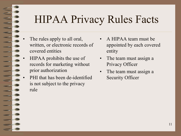## HIPAA Privacy Rules Facts

- The rules apply to all oral, written, or electronic records of covered entities
- HIPAA prohibits the use of records for marketing without prior authorization
- PHI that has been de-identified is not subject to the privacy rule
- A HIPAA team must be appointed by each covered entity
- The team must assign a Privacy Officer
- The team must assign a Security Officer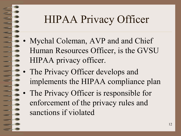## HIPAA Privacy Officer

- Mychal Coleman, AVP and and Chief Human Resources Officer, is the GVSU HIPAA privacy officer.
- The Privacy Officer develops and implements the HIPAA compliance plan
- The Privacy Officer is responsible for enforcement of the privacy rules and sanctions if violated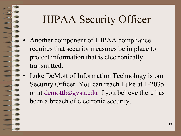## HIPAA Security Officer

- Another component of HIPAA compliance requires that security measures be in place to protect information that is electronically transmitted.
- Luke DeMott of Information Technology is our Security Officer. You can reach Luke at 1-2035 or at  $d$ emottl $(a)$ gvsu.edu if you believe there has been a breach of electronic security.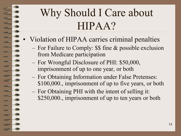## Why Should I Care about HIPAA?

- Violation of HIPAA carries criminal penalties
	- For Failure to Comply: \$\$ fine & possible exclusion from Medicare participation
	- For Wrongful Disclosure of PHI: \$50,000, imprisonment of up to one year, or both
	- For Obtaining Information under False Pretenses: \$100,000., imprisonment of up to five years, or both
	- For Obtaining PHI with the intent of selling it: \$250,000., imprisonment of up to ten years or both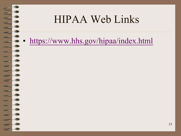#### HIPAA Web Links

• [https://www.hhs.gov/hipaa/index.html](hhs.gov/hipaa/index.html/)